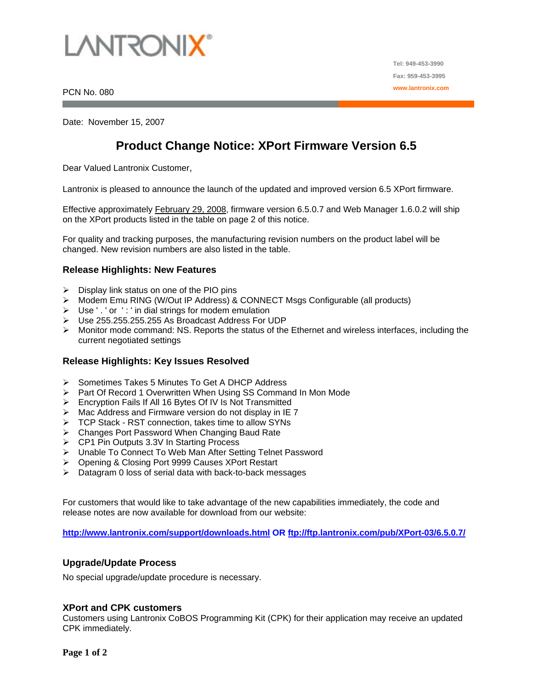

PCN No. 080

Date: November 15, 2007

# **Product Change Notice: XPort Firmware Version 6.5**

Dear Valued Lantronix Customer,

Lantronix is pleased to announce the launch of the updated and improved version 6.5 XPort firmware.

Effective approximately February 29, 2008, firmware version 6.5.0.7 and Web Manager 1.6.0.2 will ship on the XPort products listed in the table on page 2 of this notice.

For quality and tracking purposes, the manufacturing revision numbers on the product label will be changed. New revision numbers are also listed in the table.

#### **Release Highlights: New Features**

- $\triangleright$  Display link status on one of the PIO pins
- ¾ Modem Emu RING (W/Out IP Address) & CONNECT Msgs Configurable (all products)
- ¾ Use ' . ' or ' : ' in dial strings for modem emulation
- ¾ Use 255.255.255.255 As Broadcast Address For UDP
- $\triangleright$  Monitor mode command: NS. Reports the status of the Ethernet and wireless interfaces, including the current negotiated settings

#### **Release Highlights: Key Issues Resolved**

- ¾ Sometimes Takes 5 Minutes To Get A DHCP Address
- ¾ Part Of Record 1 Overwritten When Using SS Command In Mon Mode
- ¾ Encryption Fails If All 16 Bytes Of IV Is Not Transmitted
- $\triangleright$  Mac Address and Firmware version do not display in IE 7
- ¾ TCP Stack RST connection, takes time to allow SYNs
- ¾ Changes Port Password When Changing Baud Rate
- ¾ CP1 Pin Outputs 3.3V In Starting Process
- ¾ Unable To Connect To Web Man After Setting Telnet Password
- ¾ Opening & Closing Port 9999 Causes XPort Restart
- $\triangleright$  Datagram 0 loss of serial data with back-to-back messages

For customers that would like to take advantage of the new capabilities immediately, the code and release notes are now available for download from our website:

**<http://www.lantronix.com/support/downloads.html> OR <ftp://ftp.lantronix.com/pub/XPort-03/6.5.0.7/>**

#### **Upgrade/Update Process**

No special upgrade/update procedure is necessary.

#### **XPort and CPK customers**

Customers using Lantronix CoBOS Programming Kit (CPK) for their application may receive an updated CPK immediately.